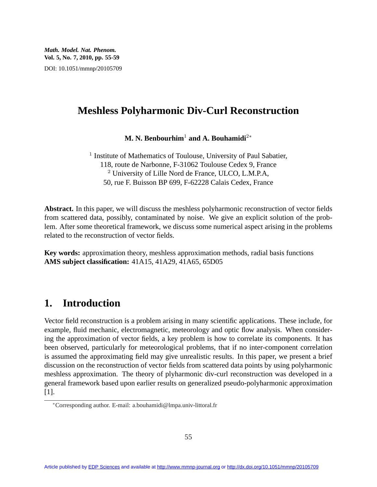*Math. Model. Nat. Phenom.* **Vol. 5, No. 7, 2010, pp. 55-59** DOI: 10.1051/mmnp/20105709

## **Meshless Polyharmonic Div-Curl Reconstruction**

**M. N. Benbourhim**<sup>1</sup> **and A. Bouhamidi**<sup>2</sup><sup>∗</sup>

<sup>1</sup> Institute of Mathematics of Toulouse, University of Paul Sabatier, 118, route de Narbonne, F-31062 Toulouse Cedex 9, France <sup>2</sup> University of Lille Nord de France, ULCO, L.M.P.A, 50, rue F. Buisson BP 699, F-62228 Calais Cedex, France

**Abstract.** In this paper, we will discuss the meshless polyharmonic reconstruction of vector fields from scattered data, possibly, contaminated by noise. We give an explicit solution of the problem. After some theoretical framework, we discuss some numerical aspect arising in the problems related to the reconstruction of vector fields.

**Key words:** approximation theory, meshless approximation methods, radial basis functions **AMS subject classification:** 41A15, 41A29, 41A65, 65D05

# **1. Introduction**

Vector field reconstruction is a problem arising in many scientific applications. These include, for example, fluid mechanic, electromagnetic, meteorology and optic flow analysis. When considering the approximation of vector fields, a key problem is how to correlate its components. It has been observed, particularly for meteorological problems, that if no inter-component correlation is assumed the approximating field may give unrealistic results. In this paper, we present a brief discussion on the reconstruction of vector fields from scattered data points by using polyharmonic meshless approximation. The theory of plyharmonic div-curl reconstruction was developed in a general framework based upon earlier results on generalized pseudo-polyharmonic approximation [1].

<sup>∗</sup>Corresponding author. E-mail: a.bouhamidi@lmpa.univ-littoral.fr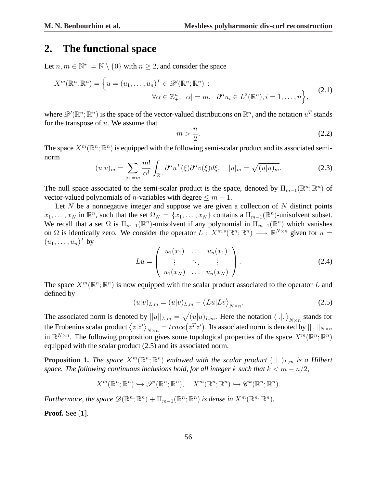## **2. The functional space**

Let  $n, m \in \mathbb{N}^* := \mathbb{N} \setminus \{0\}$  with  $n \geq 2$ , and consider the space

$$
X^m(\mathbb{R}^n; \mathbb{R}^n) = \left\{ u = (u_1, \dots, u_n)^T \in \mathcal{D}'(\mathbb{R}^n; \mathbb{R}^n) : \right\}
$$

$$
\forall \alpha \in \mathbb{Z}_+^n, |\alpha| = m, \ \ \partial^\alpha u_i \in L^2(\mathbb{R}^n), i = 1, \dots, n \right\},\tag{2.1}
$$

where  $\mathscr{D}'(\mathbb{R}^n;\mathbb{R}^n)$  is the space of the vector-valued distributions on  $\mathbb{R}^n$ , and the notation  $u^T$  stands for the transpose of  $u$ . We assume that

$$
m > \frac{n}{2}.\tag{2.2}
$$

The space  $X^m(\mathbb{R}^n;\mathbb{R}^n)$  is equipped with the following semi-scalar product and its associated seminorm

$$
(u|v)_m = \sum_{|\alpha|=m} \frac{m!}{\alpha!} \int_{\mathbb{R}^n} \partial^{\alpha} u^T(\xi) \partial^{\alpha} v(\xi) d\xi, \quad |u|_m = \sqrt{(u|u)_m}.
$$
 (2.3)

The null space associated to the semi-scalar product is the space, denoted by  $\Pi_{m-1}(\mathbb{R}^n;\mathbb{R}^n)$  of vector-valued polynomials of *n*-variables with degree  $\leq m-1$ .

Let N be a nonnegative integer and suppose we are given a collection of N distinct points  $x_1, \ldots, x_N$  in  $\mathbb{R}^n$ , such that the set  $\Omega_N = \{x_1, \ldots, x_N\}$  contains a  $\Pi_{m-1}(\mathbb{R}^n)$ -unisolvent subset. We recall that a set  $\Omega$  is  $\Pi_{m-1}(\mathbb{R}^n)$ -unisolvent if any polynomial in  $\Pi_{m-1}(\mathbb{R}^n)$  which vanishes on  $\Omega$  is identically zero. We consider the operator  $L: X^{m,s}(\mathbb{R}^n;\mathbb{R}^n) \longrightarrow \mathbb{R}^{N\times n}$  given for  $u =$  $(u_1, \ldots, u_n)^T$  by  $\overline{\phantom{a}}$  $\mathbf{r}$ 

$$
Lu = \begin{pmatrix} u_1(x_1) & \dots & u_n(x_1) \\ \vdots & \ddots & \vdots \\ u_1(x_N) & \dots & u_n(x_N) \end{pmatrix}.
$$
 (2.4)

The space  $X^m(\mathbb{R}^n;\mathbb{R}^n)$  is now equipped with the scalar product associated to the operator L and defined by  $\overline{1}$ 

$$
(u|v)_{L,m} = (u|v)_{L,m} + \langle Lu|Lv \rangle_{N \times n}.
$$
\n(2.5)

The associated norm is denoted by  $||u||_{L,m} =$  $\sqrt{(u|u)_{L,m}}$ . Here the notation  $\langle .|.$ y  $||u||_{L,m} = \sqrt{(u|u)_{L,m}}$ . Here the notation  $\langle .|. \rangle_{N \times n}$  stands for The associated norm is denoted by the Frobenius scalar product  $\langle z | z' \rangle$  $\frac{1}{N \times n} = trace\left(z^T z'\right)$ . Its associated norm is denoted by  $|| \cdot ||_{N \times n}$ in  $\mathbb{R}^{N \times n}$ . The following proposition gives some topological properties of the space  $X^m(\mathbb{R}^n;\mathbb{R}^n)$ equipped with the scalar product (2.5) and its associated norm.

**Proposition 1.** The space  $X^m(\mathbb{R}^n;\mathbb{R}^n)$  endowed with the scalar product  $(.|.)_{L,m}$  is a Hilbert *space. The following continuous inclusions hold, for all integer* k *such that*  $k < m - n/2$ ,

$$
X^m(\mathbb{R}^n;\mathbb{R}^n) \hookrightarrow \mathscr{S}'(\mathbb{R}^n;\mathbb{R}^n), \quad X^m(\mathbb{R}^n;\mathbb{R}^n) \hookrightarrow \mathscr{C}^k(\mathbb{R}^n;\mathbb{R}^n).
$$

*Furthermore, the space*  $\mathscr{D}(\mathbb{R}^n;\mathbb{R}^n)+\Pi_{m-1}(\mathbb{R}^n;\mathbb{R}^n)$  *is dense in*  $X^m(\mathbb{R}^n;\mathbb{R}^n)$ *.* 

**Proof.** See [1].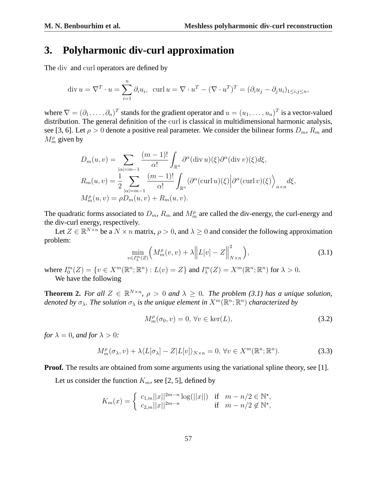### **3. Polyharmonic div-curl approximation**

The div and curl operators are defined by

$$
\operatorname{div} u = \nabla^T \cdot u = \sum_{i=1}^n \partial_i u_i, \quad \operatorname{curl} u = \nabla \cdot u^T - (\nabla \cdot u^T)^T = (\partial_i u_j - \partial_j u_i)_{1 \le i, j \le n},
$$

where  $\nabla = (\partial_1, \dots, \partial_n)^T$  stands for the gradient operator and  $u = (u_1, \dots, u_n)^T$  is a vector-valued distribution. The general definition of the curl is classical in multidimensional harmonic analysis, see [3, 6]. Let  $\rho > 0$  denote a positive real parameter. We consider the bilinear forms  $D_m$ ,  $R_m$  and  $M_m^{\rho}$  given by

$$
D_m(u, v) = \sum_{|\alpha| = m-1} \frac{(m-1)!}{\alpha!} \int_{\mathbb{R}^n} \partial^{\alpha} (\text{div } u)(\xi) \partial^{\alpha} (\text{div } v)(\xi) d\xi,
$$
  
\n
$$
R_m(u, v) = \frac{1}{2} \sum_{|\alpha| = m-1} \frac{(m-1)!}{\alpha!} \int_{\mathbb{R}^n} \langle \partial^{\alpha} (\text{curl } u)(\xi) | \partial^{\alpha} (\text{curl } v)(\xi) \rangle_{n \times n} d\xi,
$$
  
\n
$$
M_m^{\rho}(u, v) = \rho D_m(u, v) + R_m(u, v).
$$

The quadratic forms associated to  $D_m$ ,  $R_m$  and  $M_m^{\rho}$  are called the div-energy, the curl-energy and the div-curl energy, respectively.

Let  $Z \in \mathbb{R}^{N \times n}$  be a  $N \times n$  matrix,  $\rho > 0$ , and  $\lambda \geq 0$  and consider the following approximation problem: ° °

$$
\min_{v \in I_{\lambda}^{m}(Z)} \left( M_{m}^{\rho}(v, v) + \lambda \left\| L[v] - Z \right\|_{N \times n}^{2} \right),\tag{3.1}
$$

where  $I_0^m(Z) = \{v \in X^m(\mathbb{R}^n; \mathbb{R}^n) : L(v) = Z\}$  and  $I_{\lambda}^m(Z) = X^m(\mathbb{R}^n; \mathbb{R}^n)$  for  $\lambda > 0$ . We have the following

**Theorem 2.** For all  $Z \in \mathbb{R}^{N \times n}$ ,  $\rho > 0$  and  $\lambda \geq 0$ . The problem (3.1) has a unique solution, denoted by  $\sigma_\lambda$ . The solution  $\sigma_\lambda$  is the unique element in  $X^m(\mathbb{R}^n;\mathbb{R}^n)$  characterized by

$$
M_m^{\rho}(\sigma_0, v) = 0, \forall v \in \ker(L), \tag{3.2}
$$

*for*  $\lambda = 0$ *, and for*  $\lambda > 0$ *:* 

$$
M_m^{\rho}(\sigma_\lambda, v) + \lambda \langle L[\sigma_\lambda] - Z|L[v] \rangle_{N \times n} = 0, \forall v \in X^m(\mathbb{R}^n; \mathbb{R}^n).
$$
 (3.3)

**Proof.** The results are obtained from some arguments using the variational spline theory, see [1].

Let us consider the function  $K_m$ , see [2, 5], defined by

$$
K_m(x) = \begin{cases} c_{1,m} ||x||^{2m-n} \log(||x||) & \text{if } m - n/2 \in \mathbb{N}^*, \\ c_{2,m} ||x||^{2m-n} & \text{if } m - n/2 \notin \mathbb{N}^*, \end{cases}
$$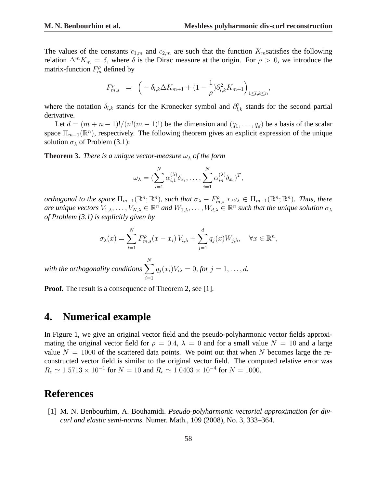The values of the constants  $c_{1,m}$  and  $c_{2,m}$  are such that the function  $K_m$ satisfies the following relation  $\Delta^m K_m = \delta$ , where  $\delta$  is the Dirac measure at the origin. For  $\rho > 0$ , we introduce the matrix-function  $F_m^{\rho}$  defined by

$$
F_{m,s}^{\rho} = \left( -\delta_{l,k} \Delta K_{m+1} + (1 - \frac{1}{\rho}) \partial_{l,k}^2 K_{m+1} \right)_{1 \le l,k \le n},
$$

where the notation  $\delta_{l,k}$  stands for the Kronecker symbol and  $\partial_{l,k}^2$  stands for the second partial derivative.

Let  $d = (m + n - 1)!/(n!(m - 1)!)$  be the dimension and  $(q_1, \ldots, q_d)$  be a basis of the scalar space  $\Pi_{m-1}(\mathbb{R}^n)$ , respectively. The following theorem gives an explicit expression of the unique solution  $\sigma_{\lambda}$  of Problem (3.1):

**Theorem 3.** *There is a unique vector-measure*  $\omega_{\lambda}$  *of the form* 

$$
\omega_{\lambda} = \left( \sum_{i=1}^{N} \alpha_{i,1}^{(\lambda)} \delta_{x_i}, \dots, \sum_{i=1}^{N} \alpha_{in}^{(\lambda)} \delta_{x_i} \right)^T,
$$

*orthogonal to the space*  $\Pi_{m-1}(\mathbb{R}^n;\mathbb{R}^n)$ *, such that*  $\sigma_\lambda-F_{m,s}^{\rho}*\omega_\lambda \in \Pi_{m-1}(\mathbb{R}^n;\mathbb{R}^n)$ *. Thus, there* are unique vectors  $V_{1,\lambda},\ldots,V_{N,\lambda}\in\mathbb{R}^n$  and  $W_{1,\lambda},\ldots,W_{d,\lambda}\in\mathbb{R}^n$  such that the unique solution  $\sigma_\lambda$ *of Problem (3.1) is explicitly given by*

$$
\sigma_{\lambda}(x) = \sum_{i=1}^{N} F_{m,s}^{\rho}(x - x_i) V_{i,\lambda} + \sum_{j=1}^{d} q_j(x) W_{j,\lambda}, \quad \forall x \in \mathbb{R}^n,
$$

with the orthogonality conditions  $\sum_{n=1}^{N}$  $i=1$  $q_j(x_i)V_{i\lambda} = 0$ , for  $j = 1, ..., d$ .

**Proof.** The result is a consequence of Theorem 2, see [1].

### **4. Numerical example**

In Figure 1, we give an original vector field and the pseudo-polyharmonic vector fields approximating the original vector field for  $\rho = 0.4$ ,  $\lambda = 0$  and for a small value  $N = 10$  and a large value  $N = 1000$  of the scattered data points. We point out that when N becomes large the reconstructed vector field is similar to the original vector field. The computed relative error was  $R_e \simeq 1.5713 \times 10^{-1}$  for  $N = 10$  and  $R_e \simeq 1.0403 \times 10^{-4}$  for  $N = 1000$ .

#### **References**

[1] M. N. Benbourhim, A. Bouhamidi. *Pseudo-polyharmonic vectorial approximation for divcurl and elastic semi-norms*. Numer. Math., 109 (2008), No. 3, 333–364.